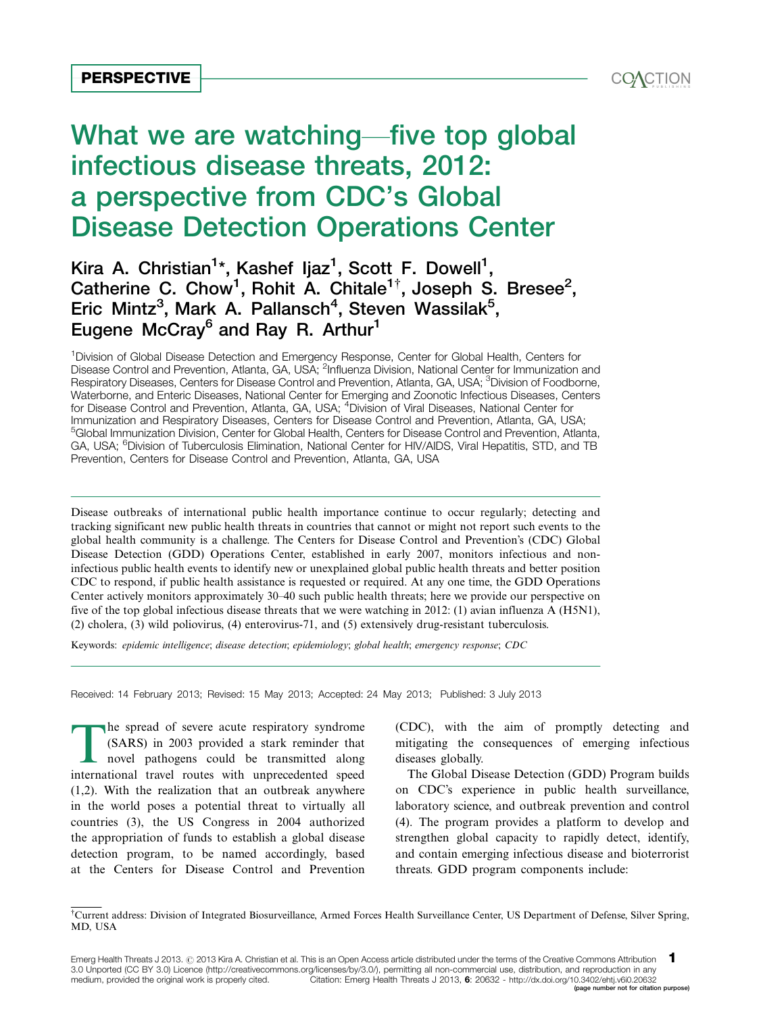# What we are watching—five top global infectious disease threats, 2012: a perspective from CDC's Global Disease Detection Operations Center PERSPECTIVE<br>
What we are watching—five top global<br>
infectious disease threats, 2012:<br>
a perspective from CDC's Global

# Kira A. Christian<sup>1[\\*](#page-7-0)</sup>, Kashef Ijaz<sup>1</sup>, Scott F. Dowell<sup>1</sup>, Catherine C. Chow<sup>1</sup>, Rohit A. Chitale<sup>1†</sup>, Joseph S. Bresee<sup>2</sup>, Eric Mintz<sup>3</sup>, Mark A. Pallansch<sup>4</sup>, Steven Wassilak<sup>5</sup>, Eugene McCray<sup>6</sup> and Ray R. Arthur<sup>1</sup>

<sup>1</sup>Division of Global Disease Detection and Emergency Response, Center for Global Health, Centers for Disease Control and Prevention, Atlanta, GA, USA; <sup>2</sup>Influenza Division, National Center for Immunization and Respiratory Diseases, Centers for Disease Control and Prevention, Atlanta, GA, USA; <sup>3</sup>Division of Foodborne, Waterborne, and Enteric Diseases, National Center for Emerging and Zoonotic Infectious Diseases, Centers for Disease Control and Prevention, Atlanta, GA, USA; <sup>4</sup>Division of Viral Diseases, National Center for Immunization and Respiratory Diseases, Centers for Disease Control and Prevention, Atlanta, GA, USA; 5 Global Immunization Division, Center for Global Health, Centers for Disease Control and Prevention, Atlanta, GA, USA; <sup>6</sup>Division of Tuberculosis Elimination, National Center for HIV/AIDS, Viral Hepatitis, STD, and TB Prevention, Centers for Disease Control and Prevention, Atlanta, GA, USA

Disease outbreaks of international public health importance continue to occur regularly; detecting and tracking significant new public health threats in countries that cannot or might not report such events to the global health community is a challenge. The Centers for Disease Control and Prevention's (CDC) Global Disease Detection (GDD) Operations Center, established in early 2007, monitors infectious and noninfectious public health events to identify new or unexplained global public health threats and better position CDC to respond, if public health assistance is requested or required. At any one time, the GDD Operations Center actively monitors approximately 30-40 such public health threats; here we provide our perspective on five of the top global infectious disease threats that we were watching in 2012: (1) avian influenza A (H5N1), (2) cholera, (3) wild poliovirus, (4) enterovirus-71, and (5) extensively drug-resistant tuberculosis.

Keywords: epidemic intelligence; disease detection; epidemiology; global health; emergency response; CDC

Received: 14 February 2013; Revised: 15 May 2013; Accepted: 24 May 2013; Published: 3 July 2013

The spread of severe acute respiratory syndrome<br>
(SARS) in 2003 provided a stark reminder that<br>
novel pathogens could be transmitted along<br>
international travel routes with unprecedented speed (SARS) in 2003 provided a stark reminder that international travel routes with unprecedented speed (1,2). With the realization that an outbreak anywhere in the world poses a potential threat to virtually all countries (3), the US Congress in 2004 authorized the appropriation of funds to establish a global disease detection program, to be named accordingly, based at the Centers for Disease Control and Prevention

(CDC), with the aim of promptly detecting and mitigating the consequences of emerging infectious diseases globally.

The Global Disease Detection (GDD) Program builds on CDC's experience in public health surveillance, laboratory science, and outbreak prevention and control (4). The program provides a platform to develop and strengthen global capacity to rapidly detect, identify, and contain emerging infectious disease and bioterrorist threats. GDD program components include:

<sup>&</sup>lt;sup>†</sup>Current address: Division of Integrated Biosurveillance, Armed Forces Health Surveillance Center, US Department of Defense, Silver Spring, MD, USA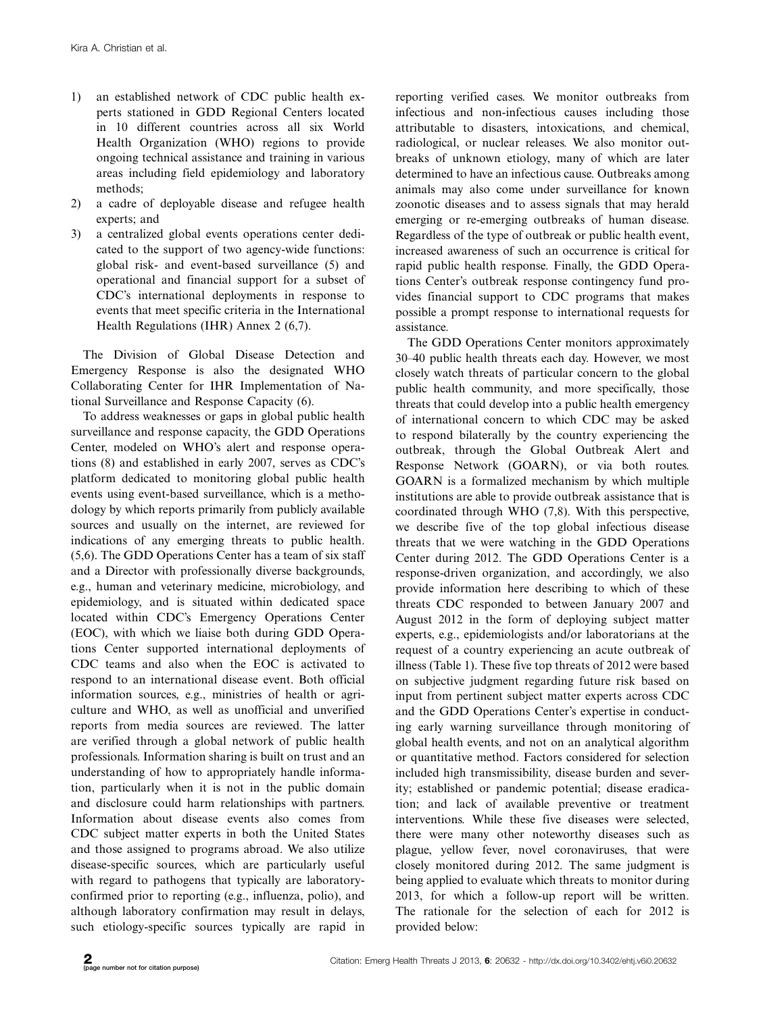- 1) an established network of CDC public health experts stationed in GDD Regional Centers located in 10 different countries across all six World Health Organization (WHO) regions to provide ongoing technical assistance and training in various areas including field epidemiology and laboratory methods;
- 2) a cadre of deployable disease and refugee health experts; and
- 3) a centralized global events operations center dedicated to the support of two agency-wide functions: global risk- and event-based surveillance (5) and operational and financial support for a subset of CDC's international deployments in response to events that meet specific criteria in the International Health Regulations (IHR) Annex 2 (6,7).

The Division of Global Disease Detection and Emergency Response is also the designated WHO Collaborating Center for IHR Implementation of National Surveillance and Response Capacity (6).

To address weaknesses or gaps in global public health surveillance and response capacity, the GDD Operations Center, modeled on WHO's alert and response operations (8) and established in early 2007, serves as CDC's platform dedicated to monitoring global public health events using event-based surveillance, which is a methodology by which reports primarily from publicly available sources and usually on the internet, are reviewed for indications of any emerging threats to public health. (5,6). The GDD Operations Center has a team of six staff and a Director with professionally diverse backgrounds, e.g., human and veterinary medicine, microbiology, and epidemiology, and is situated within dedicated space located within CDC's Emergency Operations Center (EOC), with which we liaise both during GDD Operations Center supported international deployments of CDC teams and also when the EOC is activated to respond to an international disease event. Both official information sources, e.g., ministries of health or agriculture and WHO, as well as unofficial and unverified reports from media sources are reviewed. The latter are verified through a global network of public health professionals. Information sharing is built on trust and an understanding of how to appropriately handle information, particularly when it is not in the public domain and disclosure could harm relationships with partners. Information about disease events also comes from CDC subject matter experts in both the United States and those assigned to programs abroad. We also utilize disease-specific sources, which are particularly useful with regard to pathogens that typically are laboratoryconfirmed prior to reporting (e.g., influenza, polio), and although laboratory confirmation may result in delays, such etiology-specific sources typically are rapid in

reporting verified cases. We monitor outbreaks from infectious and non-infectious causes including those attributable to disasters, intoxications, and chemical, radiological, or nuclear releases. We also monitor outbreaks of unknown etiology, many of which are later determined to have an infectious cause. Outbreaks among animals may also come under surveillance for known zoonotic diseases and to assess signals that may herald emerging or re-emerging outbreaks of human disease. Regardless of the type of outbreak or public health event, increased awareness of such an occurrence is critical for rapid public health response. Finally, the GDD Operations Center's outbreak response contingency fund provides financial support to CDC programs that makes possible a prompt response to international requests for assistance.

The GDD Operations Center monitors approximately 30-40 public health threats each day. However, we most closely watch threats of particular concern to the global public health community, and more specifically, those threats that could develop into a public health emergency of international concern to which CDC may be asked to respond bilaterally by the country experiencing the outbreak, through the Global Outbreak Alert and Response Network (GOARN), or via both routes. GOARN is a formalized mechanism by which multiple institutions are able to provide outbreak assistance that is coordinated through WHO (7,8). With this perspective, we describe five of the top global infectious disease threats that we were watching in the GDD Operations Center during 2012. The GDD Operations Center is a response-driven organization, and accordingly, we also provide information here describing to which of these threats CDC responded to between January 2007 and August 2012 in the form of deploying subject matter experts, e.g., epidemiologists and/or laboratorians at the request of a country experiencing an acute outbreak of illness (Table 1). These five top threats of 2012 were based on subjective judgment regarding future risk based on input from pertinent subject matter experts across CDC and the GDD Operations Center's expertise in conducting early warning surveillance through monitoring of global health events, and not on an analytical algorithm or quantitative method. Factors considered for selection included high transmissibility, disease burden and severity; established or pandemic potential; disease eradication; and lack of available preventive or treatment interventions. While these five diseases were selected, there were many other noteworthy diseases such as plague, yellow fever, novel coronaviruses, that were closely monitored during 2012. The same judgment is being applied to evaluate which threats to monitor during 2013, for which a follow-up report will be written. The rationale for the selection of each for 2012 is provided below: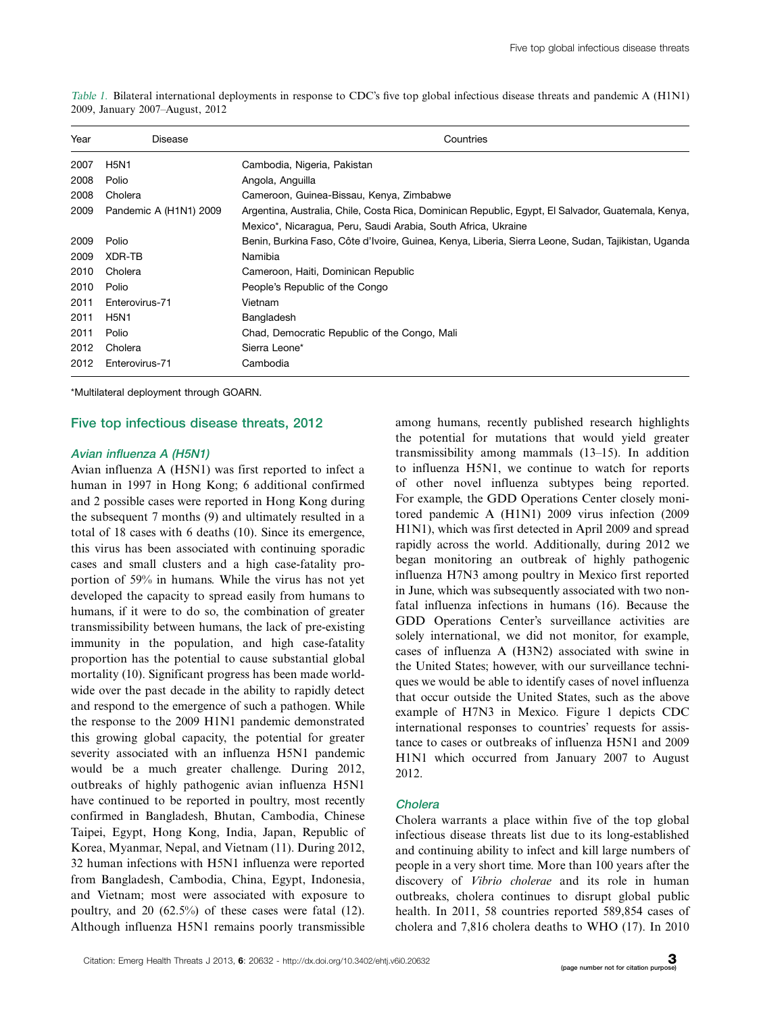Table 1. Bilateral international deployments in response to CDC's five top global infectious disease threats and pandemic A (H1N1) 2009, January 2007-August, 2012

| Year | <b>Disease</b>                | Countries                                                                                           |
|------|-------------------------------|-----------------------------------------------------------------------------------------------------|
| 2007 | <b>H5N1</b>                   | Cambodia, Nigeria, Pakistan                                                                         |
| 2008 | Polio                         | Angola, Anguilla                                                                                    |
| 2008 | Cholera                       | Cameroon, Guinea-Bissau, Kenya, Zimbabwe                                                            |
| 2009 | Pandemic A (H1N1) 2009        | Argentina, Australia, Chile, Costa Rica, Dominican Republic, Egypt, El Salvador, Guatemala, Kenya,  |
|      |                               | Mexico*, Nicaragua, Peru, Saudi Arabia, South Africa, Ukraine                                       |
| 2009 | Polio                         | Benin, Burkina Faso, Côte d'Ivoire, Guinea, Kenya, Liberia, Sierra Leone, Sudan, Tajikistan, Uganda |
| 2009 | XDR-TB                        | Namibia                                                                                             |
| 2010 | Cholera                       | Cameroon, Haiti, Dominican Republic                                                                 |
| 2010 | Polio                         | People's Republic of the Congo                                                                      |
| 2011 | Enterovirus-71                | Vietnam                                                                                             |
| 2011 | H <sub>5</sub> N <sub>1</sub> | Bangladesh                                                                                          |
| 2011 | Polio                         | Chad, Democratic Republic of the Congo, Mali                                                        |
| 2012 | Cholera                       | Sierra Leone*                                                                                       |
| 2012 | Enterovirus-71                | Cambodia                                                                                            |

\*Multilateral deployment through GOARN.

## Five top infectious disease threats, 2012

## Avian influenza A (H5N1)

Avian influenza A (H5N1) was first reported to infect a human in 1997 in Hong Kong; 6 additional confirmed and 2 possible cases were reported in Hong Kong during the subsequent 7 months (9) and ultimately resulted in a total of 18 cases with 6 deaths (10). Since its emergence, this virus has been associated with continuing sporadic cases and small clusters and a high case-fatality proportion of 59% in humans. While the virus has not yet developed the capacity to spread easily from humans to humans, if it were to do so, the combination of greater transmissibility between humans, the lack of pre-existing immunity in the population, and high case-fatality proportion has the potential to cause substantial global mortality (10). Significant progress has been made worldwide over the past decade in the ability to rapidly detect and respond to the emergence of such a pathogen. While the response to the 2009 H1N1 pandemic demonstrated this growing global capacity, the potential for greater severity associated with an influenza H5N1 pandemic would be a much greater challenge. During 2012, outbreaks of highly pathogenic avian influenza H5N1 have continued to be reported in poultry, most recently confirmed in Bangladesh, Bhutan, Cambodia, Chinese Taipei, Egypt, Hong Kong, India, Japan, Republic of Korea, Myanmar, Nepal, and Vietnam (11). During 2012, 32 human infections with H5N1 influenza were reported from Bangladesh, Cambodia, China, Egypt, Indonesia, and Vietnam; most were associated with exposure to poultry, and 20 (62.5%) of these cases were fatal (12). Although influenza H5N1 remains poorly transmissible

among humans, recently published research highlights the potential for mutations that would yield greater transmissibility among mammals (13-15). In addition to influenza H5N1, we continue to watch for reports of other novel influenza subtypes being reported. For example, the GDD Operations Center closely monitored pandemic A (H1N1) 2009 virus infection (2009 H1N1), which was first detected in April 2009 and spread rapidly across the world. Additionally, during 2012 we began monitoring an outbreak of highly pathogenic influenza H7N3 among poultry in Mexico first reported in June, which was subsequently associated with two nonfatal influenza infections in humans (16). Because the GDD Operations Center's surveillance activities are solely international, we did not monitor, for example, cases of influenza A (H3N2) associated with swine in the United States; however, with our surveillance techniques we would be able to identify cases of novel influenza that occur outside the United States, such as the above example of H7N3 in Mexico. Figure 1 depicts CDC international responses to countries' requests for assistance to cases or outbreaks of influenza H5N1 and 2009 H1N1 which occurred from January 2007 to August 2012.

## **Cholera**

Cholera warrants a place within five of the top global infectious disease threats list due to its long-established and continuing ability to infect and kill large numbers of people in a very short time. More than 100 years after the discovery of Vibrio cholerae and its role in human outbreaks, cholera continues to disrupt global public health. In 2011, 58 countries reported 589,854 cases of cholera and 7,816 cholera deaths to WHO (17). In 2010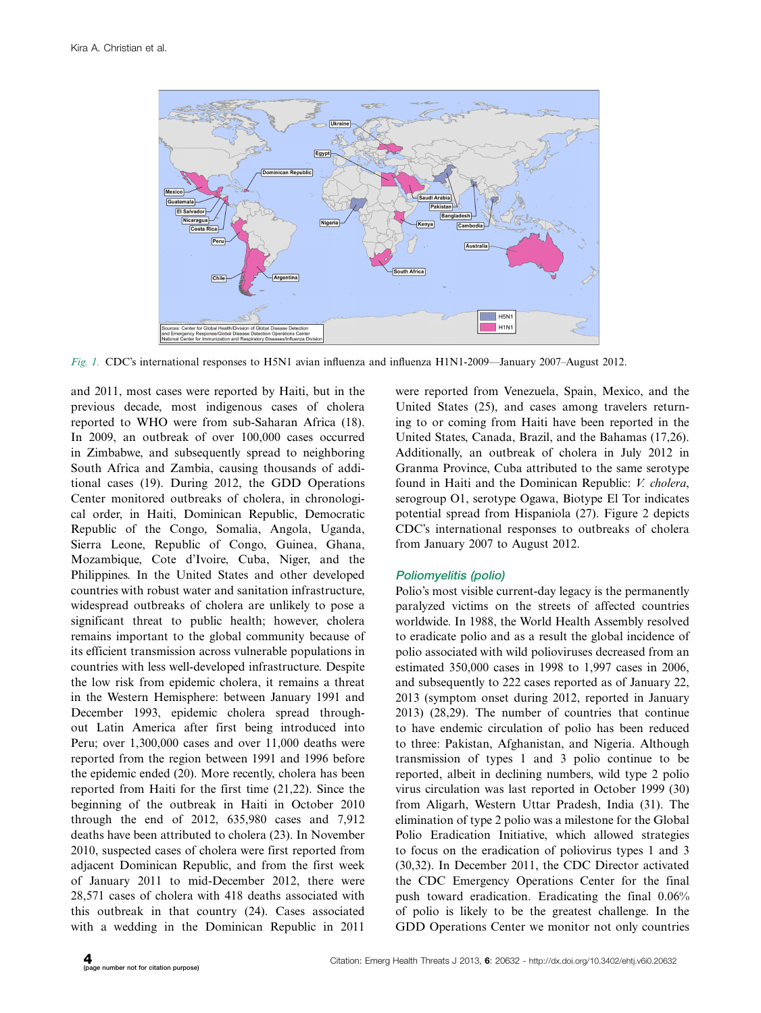

Fig. 1. CDC's international responses to H5N1 avian influenza and influenza H1N1-2009—January 2007-August 2012.

and 2011, most cases were reported by Haiti, but in the previous decade, most indigenous cases of cholera reported to WHO were from sub-Saharan Africa (18). In 2009, an outbreak of over 100,000 cases occurred in Zimbabwe, and subsequently spread to neighboring South Africa and Zambia, causing thousands of additional cases (19). During 2012, the GDD Operations Center monitored outbreaks of cholera, in chronological order, in Haiti, Dominican Republic, Democratic Republic of the Congo, Somalia, Angola, Uganda, Sierra Leone, Republic of Congo, Guinea, Ghana, Mozambique, Cote d'Ivoire, Cuba, Niger, and the Philippines. In the United States and other developed countries with robust water and sanitation infrastructure, widespread outbreaks of cholera are unlikely to pose a significant threat to public health; however, cholera remains important to the global community because of its efficient transmission across vulnerable populations in countries with less well-developed infrastructure. Despite the low risk from epidemic cholera, it remains a threat in the Western Hemisphere: between January 1991 and December 1993, epidemic cholera spread throughout Latin America after first being introduced into Peru; over 1,300,000 cases and over 11,000 deaths were reported from the region between 1991 and 1996 before the epidemic ended (20). More recently, cholera has been reported from Haiti for the first time (21,22). Since the beginning of the outbreak in Haiti in October 2010 through the end of 2012, 635,980 cases and 7,912 deaths have been attributed to cholera (23). In November 2010, suspected cases of cholera were first reported from adjacent Dominican Republic, and from the first week of January 2011 to mid-December 2012, there were 28,571 cases of cholera with 418 deaths associated with this outbreak in that country (24). Cases associated with a wedding in the Dominican Republic in 2011

were reported from Venezuela, Spain, Mexico, and the United States (25), and cases among travelers returning to or coming from Haiti have been reported in the United States, Canada, Brazil, and the Bahamas (17,26). Additionally, an outbreak of cholera in July 2012 in Granma Province, Cuba attributed to the same serotype found in Haiti and the Dominican Republic: *V. cholera*, serogroup O1, serotype Ogawa, Biotype El Tor indicates potential spread from Hispaniola (27). Figure 2 depicts CDC's international responses to outbreaks of cholera from January 2007 to August 2012.

## Poliomyelitis (polio)

Polio's most visible current-day legacy is the permanently paralyzed victims on the streets of affected countries worldwide. In 1988, the World Health Assembly resolved to eradicate polio and as a result the global incidence of polio associated with wild polioviruses decreased from an estimated 350,000 cases in 1998 to 1,997 cases in 2006, and subsequently to 222 cases reported as of January 22, 2013 (symptom onset during 2012, reported in January 2013) (28,29). The number of countries that continue to have endemic circulation of polio has been reduced to three: Pakistan, Afghanistan, and Nigeria. Although transmission of types 1 and 3 polio continue to be reported, albeit in declining numbers, wild type 2 polio virus circulation was last reported in October 1999 (30) from Aligarh, Western Uttar Pradesh, India (31). The elimination of type 2 polio was a milestone for the Global Polio Eradication Initiative, which allowed strategies to focus on the eradication of poliovirus types 1 and 3 (30,32). In December 2011, the CDC Director activated the CDC Emergency Operations Center for the final push toward eradication. Eradicating the final 0.06% of polio is likely to be the greatest challenge. In the GDD Operations Center we monitor not only countries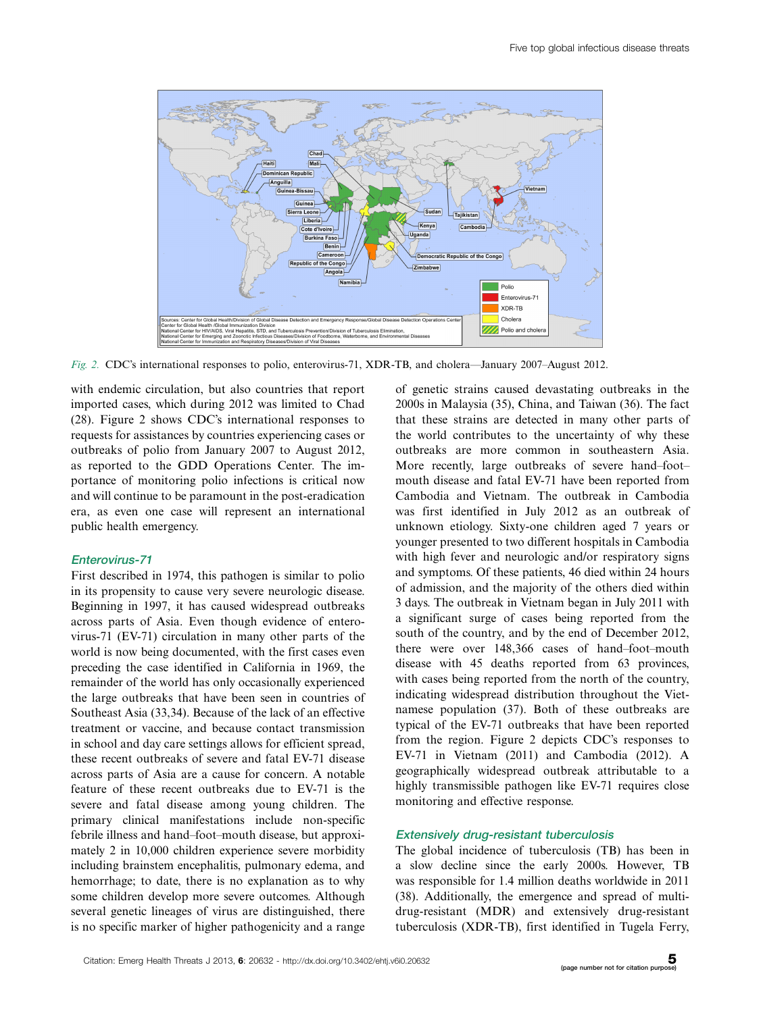

Fig. 2. CDC's international responses to polio, enterovirus-71, XDR-TB, and cholera—January 2007–August 2012.

with endemic circulation, but also countries that report imported cases, which during 2012 was limited to Chad (28). Figure 2 shows CDC's international responses to requests for assistances by countries experiencing cases or outbreaks of polio from January 2007 to August 2012, as reported to the GDD Operations Center. The importance of monitoring polio infections is critical now and will continue to be paramount in the post-eradication era, as even one case will represent an international public health emergency.

#### Enterovirus-71

First described in 1974, this pathogen is similar to polio in its propensity to cause very severe neurologic disease. Beginning in 1997, it has caused widespread outbreaks across parts of Asia. Even though evidence of enterovirus-71 (EV-71) circulation in many other parts of the world is now being documented, with the first cases even preceding the case identified in California in 1969, the remainder of the world has only occasionally experienced the large outbreaks that have been seen in countries of Southeast Asia (33,34). Because of the lack of an effective treatment or vaccine, and because contact transmission in school and day care settings allows for efficient spread, these recent outbreaks of severe and fatal EV-71 disease across parts of Asia are a cause for concern. A notable feature of these recent outbreaks due to EV-71 is the severe and fatal disease among young children. The primary clinical manifestations include non-specific febrile illness and hand-foot-mouth disease, but approximately 2 in 10,000 children experience severe morbidity including brainstem encephalitis, pulmonary edema, and hemorrhage; to date, there is no explanation as to why some children develop more severe outcomes. Although several genetic lineages of virus are distinguished, there is no specific marker of higher pathogenicity and a range

of genetic strains caused devastating outbreaks in the 2000s in Malaysia (35), China, and Taiwan (36). The fact that these strains are detected in many other parts of the world contributes to the uncertainty of why these outbreaks are more common in southeastern Asia. More recently, large outbreaks of severe hand-footmouth disease and fatal EV-71 have been reported from Cambodia and Vietnam. The outbreak in Cambodia was first identified in July 2012 as an outbreak of unknown etiology. Sixty-one children aged 7 years or younger presented to two different hospitals in Cambodia with high fever and neurologic and/or respiratory signs and symptoms. Of these patients, 46 died within 24 hours of admission, and the majority of the others died within 3 days. The outbreak in Vietnam began in July 2011 with a significant surge of cases being reported from the south of the country, and by the end of December 2012, there were over 148,366 cases of hand-foot-mouth disease with 45 deaths reported from 63 provinces, with cases being reported from the north of the country, indicating widespread distribution throughout the Vietnamese population (37). Both of these outbreaks are typical of the EV-71 outbreaks that have been reported from the region. Figure 2 depicts CDC's responses to EV-71 in Vietnam (2011) and Cambodia (2012). A geographically widespread outbreak attributable to a highly transmissible pathogen like EV-71 requires close monitoring and effective response.

## Extensively drug-resistant tuberculosis

The global incidence of tuberculosis (TB) has been in a slow decline since the early 2000s. However, TB was responsible for 1.4 million deaths worldwide in 2011 (38). Additionally, the emergence and spread of multidrug-resistant (MDR) and extensively drug-resistant tuberculosis (XDR-TB), first identified in Tugela Ferry,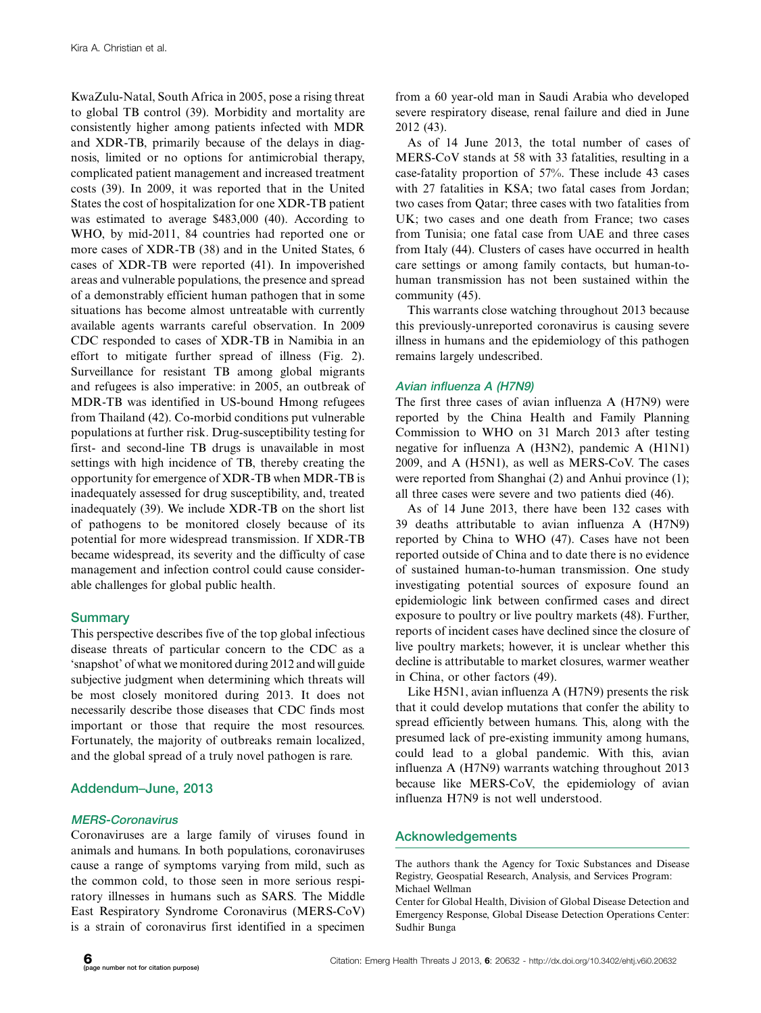KwaZulu-Natal, South Africa in 2005, pose a rising threat to global TB control (39). Morbidity and mortality are consistently higher among patients infected with MDR and XDR-TB, primarily because of the delays in diagnosis, limited or no options for antimicrobial therapy, complicated patient management and increased treatment costs (39). In 2009, it was reported that in the United States the cost of hospitalization for one XDR-TB patient was estimated to average \$483,000 (40). According to WHO, by mid-2011, 84 countries had reported one or more cases of XDR-TB (38) and in the United States, 6 cases of XDR-TB were reported (41). In impoverished areas and vulnerable populations, the presence and spread of a demonstrably efficient human pathogen that in some situations has become almost untreatable with currently available agents warrants careful observation. In 2009 CDC responded to cases of XDR-TB in Namibia in an effort to mitigate further spread of illness (Fig. 2). Surveillance for resistant TB among global migrants and refugees is also imperative: in 2005, an outbreak of MDR-TB was identified in US-bound Hmong refugees from Thailand (42). Co-morbid conditions put vulnerable populations at further risk. Drug-susceptibility testing for first- and second-line TB drugs is unavailable in most settings with high incidence of TB, thereby creating the opportunity for emergence of XDR-TB when MDR-TB is inadequately assessed for drug susceptibility, and, treated inadequately (39). We include XDR-TB on the short list of pathogens to be monitored closely because of its potential for more widespread transmission. If XDR-TB became widespread, its severity and the difficulty of case management and infection control could cause considerable challenges for global public health.

## **Summary**

This perspective describes five of the top global infectious disease threats of particular concern to the CDC as a 'snapshot' of what we monitored during 2012 and will guide subjective judgment when determining which threats will be most closely monitored during 2013. It does not necessarily describe those diseases that CDC finds most important or those that require the most resources. Fortunately, the majority of outbreaks remain localized, and the global spread of a truly novel pathogen is rare.

# Addendum-June, 2013

## MERS-Coronavirus

Coronaviruses are a large family of viruses found in animals and humans. In both populations, coronaviruses cause a range of symptoms varying from mild, such as the common cold, to those seen in more serious respiratory illnesses in humans such as SARS. The Middle East Respiratory Syndrome Coronavirus (MERS-CoV) is a strain of coronavirus first identified in a specimen

from a 60 year-old man in Saudi Arabia who developed severe respiratory disease, renal failure and died in June 2012 (43).

As of 14 June 2013, the total number of cases of MERS-CoV stands at 58 with 33 fatalities, resulting in a case-fatality proportion of 57%. These include 43 cases with 27 fatalities in KSA; two fatal cases from Jordan; two cases from Qatar; three cases with two fatalities from UK; two cases and one death from France; two cases from Tunisia; one fatal case from UAE and three cases from Italy (44). Clusters of cases have occurred in health care settings or among family contacts, but human-tohuman transmission has not been sustained within the community (45).

This warrants close watching throughout 2013 because this previously-unreported coronavirus is causing severe illness in humans and the epidemiology of this pathogen remains largely undescribed.

### Avian influenza A (H7N9)

The first three cases of avian influenza A (H7N9) were reported by the China Health and Family Planning Commission to WHO on 31 March 2013 after testing negative for influenza A (H3N2), pandemic A (H1N1) 2009, and A (H5N1), as well as MERS-CoV. The cases were reported from Shanghai (2) and Anhui province (1); all three cases were severe and two patients died (46).

As of 14 June 2013, there have been 132 cases with 39 deaths attributable to avian influenza A (H7N9) reported by China to WHO (47). Cases have not been reported outside of China and to date there is no evidence of sustained human-to-human transmission. One study investigating potential sources of exposure found an epidemiologic link between confirmed cases and direct exposure to poultry or live poultry markets (48). Further, reports of incident cases have declined since the closure of live poultry markets; however, it is unclear whether this decline is attributable to market closures, warmer weather in China, or other factors (49).

Like H5N1, avian influenza A (H7N9) presents the risk that it could develop mutations that confer the ability to spread efficiently between humans. This, along with the presumed lack of pre-existing immunity among humans, could lead to a global pandemic. With this, avian influenza A (H7N9) warrants watching throughout 2013 because like MERS-CoV, the epidemiology of avian influenza H7N9 is not well understood.

## Acknowledgements

The authors thank the Agency for Toxic Substances and Disease Registry, Geospatial Research, Analysis, and Services Program: Michael Wellman

Center for Global Health, Division of Global Disease Detection and Emergency Response, Global Disease Detection Operations Center: Sudhir Bunga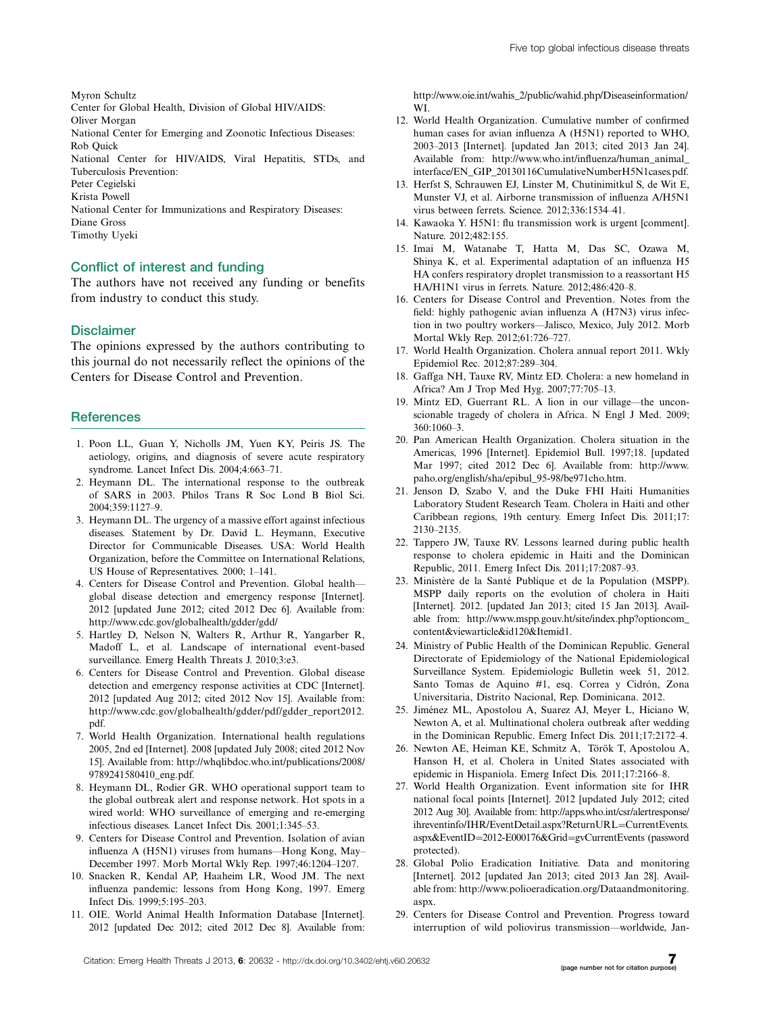Myron Schultz Center for Global Health, Division of Global HIV/AIDS: Oliver Morgan National Center for Emerging and Zoonotic Infectious Diseases: Rob Quick National Center for HIV/AIDS, Viral Hepatitis, STDs, and Tuberculosis Prevention: Peter Cegielski Krista Powell National Center for Immunizations and Respiratory Diseases: Diane Gross Timothy Uyeki

## Conflict of interest and funding

The authors have not received any funding or benefits from industry to conduct this study.

## **Disclaimer**

The opinions expressed by the authors contributing to this journal do not necessarily reflect the opinions of the Centers for Disease Control and Prevention.

## **References**

- 1. Poon LL, Guan Y, Nicholls JM, Yuen KY, Peiris JS. The aetiology, origins, and diagnosis of severe acute respiratory syndrome. Lancet Infect Dis. 2004;4:663-71.
- 2. Heymann DL. The international response to the outbreak of SARS in 2003. Philos Trans R Soc Lond B Biol Sci. 2004;359:1127-9.
- 3. Heymann DL. The urgency of a massive effort against infectious diseases. Statement by Dr. David L. Heymann, Executive Director for Communicable Diseases. USA: World Health Organization, before the Committee on International Relations, US House of Representatives. 2000; 1-141.
- 4. Centers for Disease Control and Prevention. Global healthglobal disease detection and emergency response [Internet]. 2012 [updated June 2012; cited 2012 Dec 6]. Available from: <http://www.cdc.gov/globalhealth/gdder/gdd/>
- 5. Hartley D, Nelson N, Walters R, Arthur R, Yangarber R, Madoff L, et al. Landscape of international event-based surveillance. Emerg Health Threats J. 2010;3:e3.
- 6. Centers for Disease Control and Prevention. Global disease detection and emergency response activities at CDC [Internet]. 2012 [updated Aug 2012; cited 2012 Nov 15]. Available from: [http://www.cdc.gov/globalhealth/gdder/pdf/gdder\\_report2012.](http://www.cdc.gov/globalhealth/gdder/pdf/gdder_report2012.pdf) [pdf.](http://www.cdc.gov/globalhealth/gdder/pdf/gdder_report2012.pdf)
- 7. World Health Organization. International health regulations 2005, 2nd ed [Internet]. 2008 [updated July 2008; cited 2012 Nov 15]. Available from: [http://whqlibdoc.who.int/publications/2008/](http://whqlibdoc.who.int/publications/2008/9789241580410_eng.pdf) [9789241580410\\_eng.pdf.](http://whqlibdoc.who.int/publications/2008/9789241580410_eng.pdf)
- 8. Heymann DL, Rodier GR. WHO operational support team to the global outbreak alert and response network. Hot spots in a wired world: WHO surveillance of emerging and re-emerging infectious diseases. Lancet Infect Dis. 2001;1:345-53.
- 9. Centers for Disease Control and Prevention. Isolation of avian influenza A (H5N1) viruses from humans—Hong Kong, May-December 1997. Morb Mortal Wkly Rep. 1997;46:1204-1207.
- 10. Snacken R, Kendal AP, Haaheim LR, Wood JM. The next influenza pandemic: lessons from Hong Kong, 1997. Emerg Infect Dis. 1999;5:195-203.
- 11. OIE. World Animal Health Information Database [Internet]. 2012 [updated Dec 2012; cited 2012 Dec 8]. Available from:

[http://www.oie.int/wahis\\_2/public/wahid.php/Diseaseinformation/](http://www.oie.int/wahis_2/public/wahid.php/Diseaseinformation/WI) [WI.](http://www.oie.int/wahis_2/public/wahid.php/Diseaseinformation/WI)

- 12. World Health Organization. Cumulative number of confirmed human cases for avian influenza A (H5N1) reported to WHO, 2003-2013 [Internet]. [updated Jan 2013; cited 2013 Jan 24]. Available from: [http://www.who.int/influenza/human\\_animal\\_](http://www.who.int/influenza/human_animal_interface/EN_GIP_20130116CumulativeNumberH5N1cases.pdf) [interface/EN\\_GIP\\_20130116CumulativeNumberH5N1cases.pdf.](http://www.who.int/influenza/human_animal_interface/EN_GIP_20130116CumulativeNumberH5N1cases.pdf)
- 13. Herfst S, Schrauwen EJ, Linster M, Chutinimitkul S, de Wit E, Munster VJ, et al. Airborne transmission of influenza A/H5N1 virus between ferrets. Science. 2012;336:1534-41.
- 14. Kawaoka Y. H5N1: flu transmission work is urgent [comment]. Nature. 2012;482:155.
- 15. Imai M, Watanabe T, Hatta M, Das SC, Ozawa M, Shinya K, et al. Experimental adaptation of an influenza H5 HA confers respiratory droplet transmission to a reassortant H5 HA/H1N1 virus in ferrets. Nature. 2012;486:420-8.
- 16. Centers for Disease Control and Prevention. Notes from the field: highly pathogenic avian influenza A (H7N3) virus infection in two poultry workers-Jalisco, Mexico, July 2012. Morb Mortal Wkly Rep. 2012;61:726-727.
- 17. World Health Organization. Cholera annual report 2011. Wkly Epidemiol Rec. 2012;87:289-304.
- 18. Gaffga NH, Tauxe RV, Mintz ED. Cholera: a new homeland in Africa? Am J Trop Med Hyg. 2007;77:705-13.
- 19. Mintz ED, Guerrant RL. A lion in our village—the unconscionable tragedy of cholera in Africa. N Engl J Med. 2009; 360:1060-3.
- 20. Pan American Health Organization. Cholera situation in the Americas, 1996 [Internet]. Epidemiol Bull. 1997;18. [updated Mar 1997; cited 2012 Dec 6]. Available from: [http://www.](http://www.paho.org/english/sha/epibul_95-98/be971cho.htm) [paho.org/english/sha/epibul\\_95-98/be971cho.htm.](http://www.paho.org/english/sha/epibul_95-98/be971cho.htm)
- 21. Jenson D, Szabo V, and the Duke FHI Haiti Humanities Laboratory Student Research Team. Cholera in Haiti and other Caribbean regions, 19th century. Emerg Infect Dis. 2011;17: 2130-2135.
- 22. Tappero JW, Tauxe RV. Lessons learned during public health response to cholera epidemic in Haiti and the Dominican Republic, 2011. Emerg Infect Dis. 2011;17:2087-93.
- 23. Ministère de la Santé Publique et de la Population (MSPP). MSPP daily reports on the evolution of cholera in Haiti [Internet]. 2012. [updated Jan 2013; cited 15 Jan 2013]. Available from: [http://www.mspp.gouv.ht/site/index.php?optioncom\\_](http://www.mspp.gouv.ht/site/index.php?optioncom_contentviewarticleid120Itemid1) [content&viewarticle&id120&Itemid1.](http://www.mspp.gouv.ht/site/index.php?optioncom_contentviewarticleid120Itemid1)
- 24. Ministry of Public Health of the Dominican Republic. General Directorate of Epidemiology of the National Epidemiological Surveillance System. Epidemiologic Bulletin week 51, 2012. Santo Tomas de Aquino #1, esq. Correa y Cidrón, Zona Universitaria, Distrito Nacional, Rep. Dominicana. 2012.
- 25. Jiménez ML, Apostolou A, Suarez AJ, Meyer L, Hiciano W, Newton A, et al. Multinational cholera outbreak after wedding in the Dominican Republic. Emerg Infect Dis. 2011;17:2172-4.
- 26. Newton AE, Heiman KE, Schmitz A, Török T, Apostolou A, Hanson H, et al. Cholera in United States associated with epidemic in Hispaniola. Emerg Infect Dis. 2011;17:2166-8.
- 27. World Health Organization. Event information site for IHR national focal points [Internet]. 2012 [updated July 2012; cited 2012 Aug 30]. Available from: [http://apps.who.int/csr/alertresponse/](http://apps.who.int/csr/alertresponse/ihreventinfo/IHR/EventDetail.aspx?ReturnURL=CurrentEvents.aspxEventID=2012-E000176Grid=gvCurrentEvents) [ihreventinfo/IHR/EventDetail.aspx?ReturnURL](http://apps.who.int/csr/alertresponse/ihreventinfo/IHR/EventDetail.aspx?ReturnURL=CurrentEvents.aspxEventID=2012-E000176Grid=gvCurrentEvents)=[CurrentEvents.](http://apps.who.int/csr/alertresponse/ihreventinfo/IHR/EventDetail.aspx?ReturnURL=CurrentEvents.aspxEventID=2012-E000176Grid=gvCurrentEvents) [aspx&EventID](http://apps.who.int/csr/alertresponse/ihreventinfo/IHR/EventDetail.aspx?ReturnURL=CurrentEvents.aspxEventID=2012-E000176Grid=gvCurrentEvents)=[2012-E000176&Grid](http://apps.who.int/csr/alertresponse/ihreventinfo/IHR/EventDetail.aspx?ReturnURL=CurrentEvents.aspxEventID=2012-E000176Grid=gvCurrentEvents)=[gvCurrentEvents](http://apps.who.int/csr/alertresponse/ihreventinfo/IHR/EventDetail.aspx?ReturnURL=CurrentEvents.aspxEventID=2012-E000176Grid=gvCurrentEvents) (password protected).
- 28. Global Polio Eradication Initiative. Data and monitoring [Internet]. 2012 [updated Jan 2013; cited 2013 Jan 28]. Available from: [http://www.polioeradication.org/Dataandmonitoring.](http://www.polioeradication.org/Dataandmonitoring.aspx) [aspx](http://www.polioeradication.org/Dataandmonitoring.aspx).
- 29. Centers for Disease Control and Prevention. Progress toward interruption of wild poliovirus transmission-worldwide, Jan-